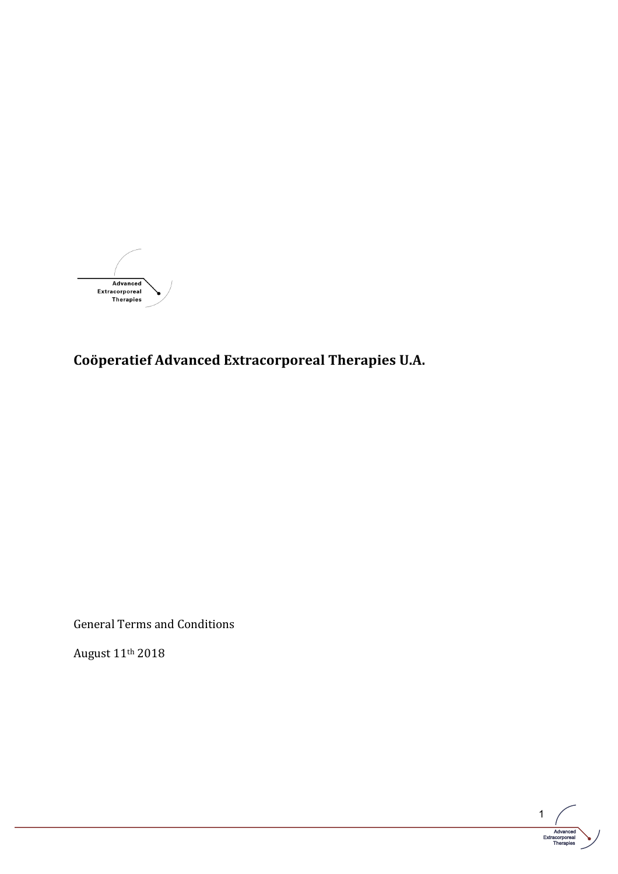

**Coöperatief Advanced Extracorporeal Therapies U.A.**

General Terms and Conditions

August 11th 2018

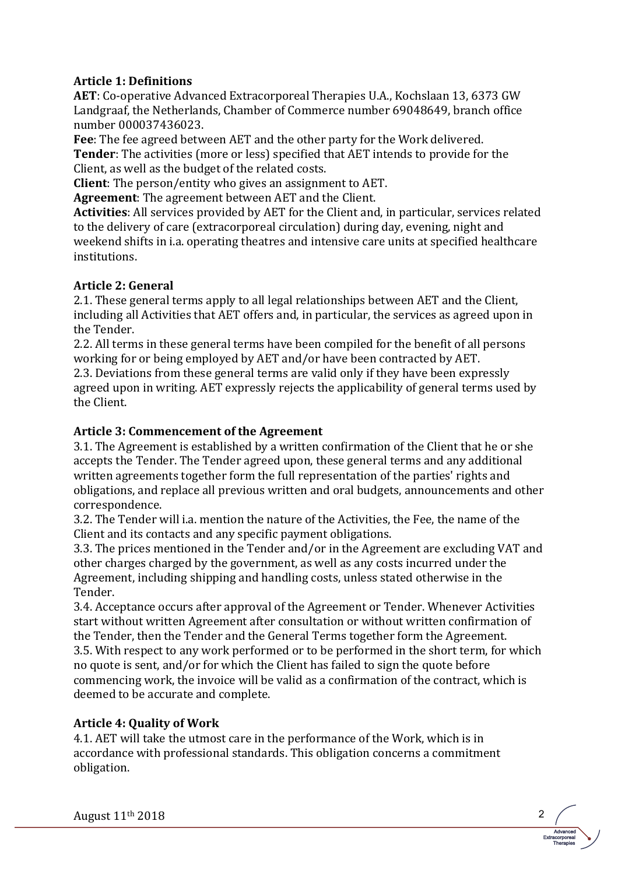## **Article 1: Definitions**

**AET**: Co-operative Advanced Extracorporeal Therapies U.A., Kochslaan 13, 6373 GW Landgraaf, the Netherlands, Chamber of Commerce number 69048649, branch office number 000037436023.

**Fee**: The fee agreed between AET and the other party for the Work delivered. **Tender:** The activities (more or less) specified that AET intends to provide for the Client, as well as the budget of the related costs.

**Client**: The person/entity who gives an assignment to AET.

**Agreement:** The agreement between AET and the Client.

**Activities:** All services provided by AET for the Client and, in particular, services related to the delivery of care (extracorporeal circulation) during day, evening, night and weekend shifts in i.a. operating theatres and intensive care units at specified healthcare institutions.

# **Article 2: General**

2.1. These general terms apply to all legal relationships between AET and the Client, including all Activities that AET offers and, in particular, the services as agreed upon in the Tender.

2.2. All terms in these general terms have been compiled for the benefit of all persons working for or being employed by AET and/or have been contracted by AET.

2.3. Deviations from these general terms are valid only if they have been expressly agreed upon in writing. AET expressly rejects the applicability of general terms used by the Client.

# Article 3: Commencement of the Agreement

3.1. The Agreement is established by a written confirmation of the Client that he or she accepts the Tender. The Tender agreed upon, these general terms and any additional written agreements together form the full representation of the parties' rights and obligations, and replace all previous written and oral budgets, announcements and other correspondence.

3.2. The Tender will i.a. mention the nature of the Activities, the Fee, the name of the Client and its contacts and any specific payment obligations.

3.3. The prices mentioned in the Tender and/or in the Agreement are excluding VAT and other charges charged by the government, as well as any costs incurred under the Agreement, including shipping and handling costs, unless stated otherwise in the Tender.

3.4. Acceptance occurs after approval of the Agreement or Tender. Whenever Activities start without written Agreement after consultation or without written confirmation of the Tender, then the Tender and the General Terms together form the Agreement. 3.5. With respect to any work performed or to be performed in the short term, for which no quote is sent, and/or for which the Client has failed to sign the quote before commencing work, the invoice will be valid as a confirmation of the contract, which is deemed to be accurate and complete.

> Advanced Extracorporeal Therapies

# **Article 4: Quality of Work**

4.1. AET will take the utmost care in the performance of the Work, which is in accordance with professional standards. This obligation concerns a commitment obligation.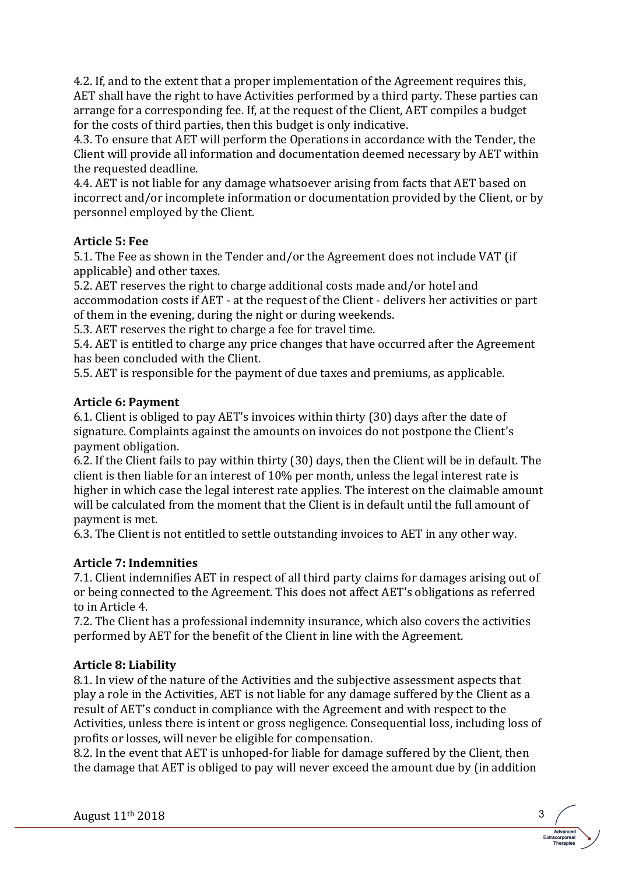4.2. If, and to the extent that a proper implementation of the Agreement requires this, AET shall have the right to have Activities performed by a third party. These parties can arrange for a corresponding fee. If, at the request of the Client, AET compiles a budget for the costs of third parties, then this budget is only indicative.

4.3. To ensure that AET will perform the Operations in accordance with the Tender, the Client will provide all information and documentation deemed necessary by AET within the requested deadline.

4.4. AET is not liable for any damage whatsoever arising from facts that AET based on incorrect and/or incomplete information or documentation provided by the Client, or by personnel employed by the Client.

#### **Article 5: Fee**

5.1. The Fee as shown in the Tender and/or the Agreement does not include VAT (if applicable) and other taxes.

5.2. AET reserves the right to charge additional costs made and/or hotel and accommodation costs if AET - at the request of the Client - delivers her activities or part of them in the evening, during the night or during weekends.

5.3. AET reserves the right to charge a fee for travel time.

5.4. AET is entitled to charge any price changes that have occurred after the Agreement has been concluded with the Client.

5.5. AET is responsible for the payment of due taxes and premiums, as applicable.

#### **Article 6: Payment**

6.1. Client is obliged to pay AET's invoices within thirty  $(30)$  days after the date of signature. Complaints against the amounts on invoices do not postpone the Client's payment obligation.

6.2. If the Client fails to pay within thirty (30) days, then the Client will be in default. The client is then liable for an interest of  $10\%$  per month, unless the legal interest rate is higher in which case the legal interest rate applies. The interest on the claimable amount will be calculated from the moment that the Client is in default until the full amount of payment is met.

6.3. The Client is not entitled to settle outstanding invoices to AET in any other way.

## **Article 7: Indemnities**

7.1. Client indemnifies AET in respect of all third party claims for damages arising out of or being connected to the Agreement. This does not affect AET's obligations as referred to in Article 4.

7.2. The Client has a professional indemnity insurance, which also covers the activities performed by AET for the benefit of the Client in line with the Agreement.

## **Article 8: Liability**

8.1. In view of the nature of the Activities and the subjective assessment aspects that play a role in the Activities, AET is not liable for any damage suffered by the Client as a result of AET's conduct in compliance with the Agreement and with respect to the Activities, unless there is intent or gross negligence. Consequential loss, including loss of profits or losses, will never be eligible for compensation.

8.2. In the event that AET is unhoped-for liable for damage suffered by the Client, then the damage that AET is obliged to pay will never exceed the amount due by (in addition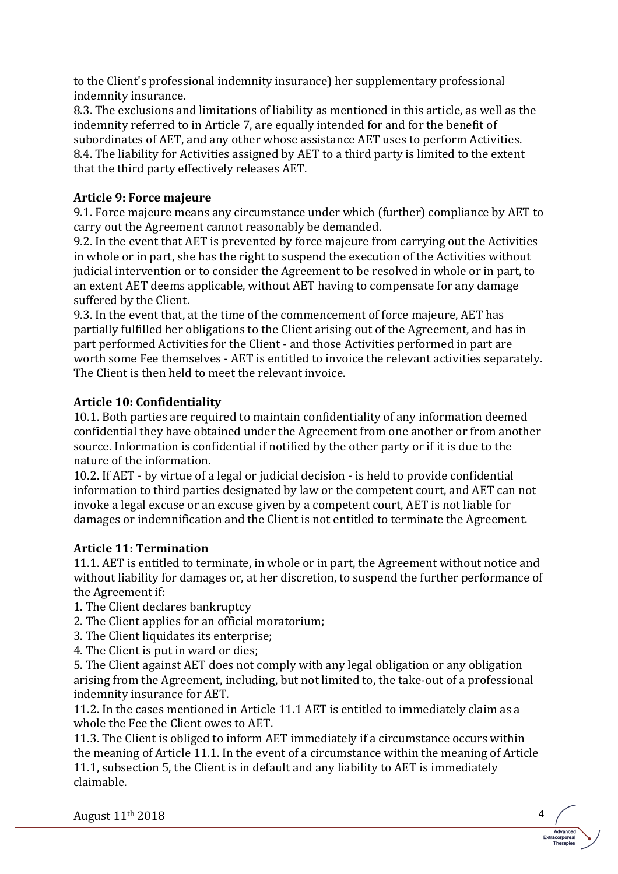to the Client's professional indemnity insurance) her supplementary professional indemnity insurance.

8.3. The exclusions and limitations of liability as mentioned in this article, as well as the indemnity referred to in Article 7, are equally intended for and for the benefit of subordinates of AET, and any other whose assistance AET uses to perform Activities. 8.4. The liability for Activities assigned by AET to a third party is limited to the extent that the third party effectively releases AET.

# **Article 9: Force majeure**

9.1. Force majeure means any circumstance under which (further) compliance by AET to carry out the Agreement cannot reasonably be demanded.

9.2. In the event that AET is prevented by force majeure from carrying out the Activities in whole or in part, she has the right to suspend the execution of the Activities without judicial intervention or to consider the Agreement to be resolved in whole or in part, to an extent AET deems applicable, without AET having to compensate for any damage suffered by the Client.

9.3. In the event that, at the time of the commencement of force majeure, AET has partially fulfilled her obligations to the Client arising out of the Agreement, and has in part performed Activities for the Client - and those Activities performed in part are worth some Fee themselves - AET is entitled to invoice the relevant activities separately. The Client is then held to meet the relevant invoice.

# **Article 10: Confidentiality**

10.1. Both parties are required to maintain confidentiality of any information deemed confidential they have obtained under the Agreement from one another or from another source. Information is confidential if notified by the other party or if it is due to the nature of the information.

10.2. If AET - by virtue of a legal or judicial decision - is held to provide confidential information to third parties designated by law or the competent court, and AET can not invoke a legal excuse or an excuse given by a competent court, AET is not liable for damages or indemnification and the Client is not entitled to terminate the Agreement.

## **Article 11: Termination**

11.1. AET is entitled to terminate, in whole or in part, the Agreement without notice and without liability for damages or, at her discretion, to suspend the further performance of the Agreement if:

1. The Client declares bankruptcy

- 2. The Client applies for an official moratorium;
- 3. The Client liquidates its enterprise;
- 4. The Client is put in ward or dies;

5. The Client against AET does not comply with any legal obligation or any obligation arising from the Agreement, including, but not limited to, the take-out of a professional indemnity insurance for AET.

11.2. In the cases mentioned in Article 11.1 AET is entitled to immediately claim as a whole the Fee the Client owes to AET.

11.3. The Client is obliged to inform AET immediately if a circumstance occurs within the meaning of Article 11.1. In the event of a circumstance within the meaning of Article 11.1, subsection 5, the Client is in default and any liability to AET is immediately claimable.